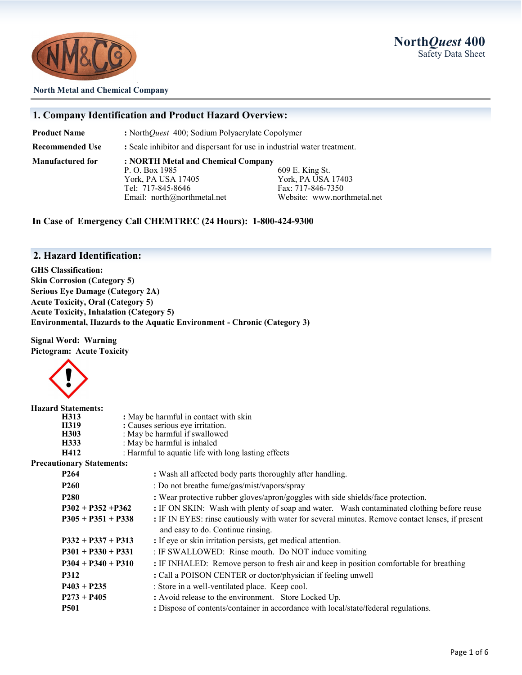

#### **North Metal and Chemical Company**

#### **1. Company Identification and Product Hazard Overview:**

**Product Name** : North*Quest* 400; Sodium Polyacrylate Copolymer

**Recommended Use :** Scale inhibitor and dispersant for use in industrial water treatment.

**Manufactured for : NORTH Metal and Chemical Company** P. O. Box 1985 609 E. King St. York, PA USA 17405 York, PA USA 17403 Tel: 717-845-8646 Fax: 717-846-7350

Email: north@northmetal.net Website: www.northmetal.net

**In Case of Emergency Call CHEMTREC (24 Hours): 1-800-424-9300**

#### **2. Hazard Identification:**

**GHS Classification: Skin Corrosion (Category 5) Serious Eye Damage (Category 2A) Acute Toxicity, Oral (Category 5) Acute Toxicity, Inhalation (Category 5) Environmental, Hazards to the Aquatic Environment - Chronic (Category 3)**

**Signal Word: Warning Pictogram: Acute Toxicity**



| <b>Hazard Statements:</b> |                                       |                                                                                                  |  |  |
|---------------------------|---------------------------------------|--------------------------------------------------------------------------------------------------|--|--|
| H313                      | : May be harmful in contact with skin |                                                                                                  |  |  |
| H319                      |                                       | : Causes serious eye irritation.                                                                 |  |  |
| H303                      |                                       | : May be harmful if swallowed                                                                    |  |  |
| H333                      |                                       | : May be harmful is inhaled                                                                      |  |  |
| H412                      |                                       | : Harmful to aquatic life with long lasting effects                                              |  |  |
|                           | <b>Precautionary Statements:</b>      |                                                                                                  |  |  |
| P <sub>264</sub>          |                                       | : Wash all affected body parts thoroughly after handling.                                        |  |  |
| <b>P260</b>               |                                       | : Do not breathe fume/gas/mist/vapors/spray                                                      |  |  |
| <b>P280</b>               |                                       | : Wear protective rubber gloves/apron/goggles with side shields/face protection.                 |  |  |
| $P302 + P352 + P362$      |                                       | : IF ON SKIN: Wash with plenty of soap and water. Wash contaminated clothing before reuse        |  |  |
|                           | $P305 + P351 + P338$                  | : IF IN EYES: rinse cautiously with water for several minutes. Remove contact lenses, if present |  |  |
|                           |                                       | and easy to do. Continue rinsing.                                                                |  |  |
|                           | $P332 + P337 + P313$                  | : If eye or skin irritation persists, get medical attention.                                     |  |  |
|                           | $P301 + P330 + P331$                  | : IF SWALLOWED: Rinse mouth. Do NOT induce vomiting                                              |  |  |
|                           | $P304 + P340 + P310$                  | : IF INHALED: Remove person to fresh air and keep in position comfortable for breathing          |  |  |
| <b>P312</b>               |                                       | : Call a POISON CENTER or doctor/physician if feeling unwell                                     |  |  |
|                           | $P403 + P235$                         | : Store in a well-ventilated place. Keep cool.                                                   |  |  |
|                           | $P273 + P405$                         | : Avoid release to the environment. Store Locked Up.                                             |  |  |
| <b>P501</b>               |                                       | : Dispose of contents/container in accordance with local/state/federal regulations.              |  |  |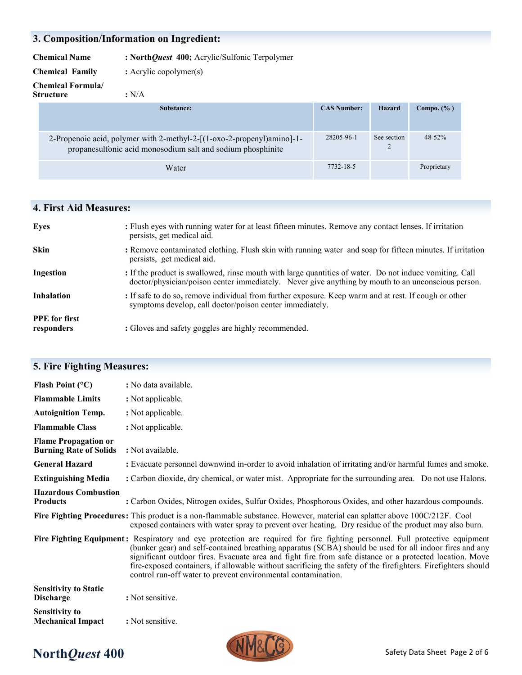## **3. Composition/Information on Ingredient:**

**Chemical Name : North***Quest* **400;** Acrylic/Sulfonic Terpolymer

**Chemical Family :** Acrylic copolymer(s)

**Chemical Formula/ Structure :** N/A

| Substance:                                                                                                                            | <b>CAS Number:</b> | Hazard                        | Compo. $(\% )$ |
|---------------------------------------------------------------------------------------------------------------------------------------|--------------------|-------------------------------|----------------|
| 2-Propenoic acid, polymer with 2-methyl-2-[(1-oxo-2-propenyl)amino]-1-<br>propanesulfonic acid monosodium salt and sodium phosphinite | 28205-96-1         | See section<br>$\overline{c}$ | $48 - 52%$     |
| Water                                                                                                                                 | 7732-18-5          |                               | Proprietary    |

## **4. First Aid Measures:**

| <b>Eyes</b>                        | : Flush eyes with running water for at least fifteen minutes. Remove any contact lenses. If irritation<br>persists, get medical aid.                                                                          |
|------------------------------------|---------------------------------------------------------------------------------------------------------------------------------------------------------------------------------------------------------------|
| <b>Skin</b>                        | : Remove contaminated clothing. Flush skin with running water and soap for fifteen minutes. If irritation<br>persists, get medical aid.                                                                       |
| Ingestion                          | : If the product is swallowed, rinse mouth with large quantities of water. Do not induce vomiting. Call<br>doctor/physician/poison center immediately. Never give anything by mouth to an unconscious person. |
| <b>Inhalation</b>                  | : If safe to do so, remove individual from further exposure. Keep warm and at rest. If cough or other<br>symptoms develop, call doctor/poison center immediately.                                             |
| <b>PPE</b> for first<br>responders | : Gloves and safety goggles are highly recommended.                                                                                                                                                           |

| Flash Point $(^{\circ}C)$                                    | : No data available.                                                                                                                                                                                                                                                                                                                                                                                                                                                                                                                 |
|--------------------------------------------------------------|--------------------------------------------------------------------------------------------------------------------------------------------------------------------------------------------------------------------------------------------------------------------------------------------------------------------------------------------------------------------------------------------------------------------------------------------------------------------------------------------------------------------------------------|
| <b>Flammable Limits</b>                                      | : Not applicable.                                                                                                                                                                                                                                                                                                                                                                                                                                                                                                                    |
| <b>Autoignition Temp.</b>                                    | : Not applicable.                                                                                                                                                                                                                                                                                                                                                                                                                                                                                                                    |
| <b>Flammable Class</b>                                       | : Not applicable.                                                                                                                                                                                                                                                                                                                                                                                                                                                                                                                    |
| <b>Flame Propagation or</b><br><b>Burning Rate of Solids</b> | : Not available.                                                                                                                                                                                                                                                                                                                                                                                                                                                                                                                     |
| <b>General Hazard</b>                                        | : Evacuate personnel downwind in-order to avoid inhalation of irritating and/or harmful fumes and smoke.                                                                                                                                                                                                                                                                                                                                                                                                                             |
| <b>Extinguishing Media</b>                                   | : Carbon dioxide, dry chemical, or water mist. Appropriate for the surrounding area. Do not use Halons.                                                                                                                                                                                                                                                                                                                                                                                                                              |
| <b>Hazardous Combustion</b><br><b>Products</b>               | : Carbon Oxides, Nitrogen oxides, Sulfur Oxides, Phosphorous Oxides, and other hazardous compounds.                                                                                                                                                                                                                                                                                                                                                                                                                                  |
|                                                              | Fire Fighting Procedures: This product is a non-flammable substance. However, material can splatter above 100C/212F. Cool<br>exposed containers with water spray to prevent over heating. Dry residue of the product may also burn.                                                                                                                                                                                                                                                                                                  |
|                                                              | Fire Fighting Equipment: Respiratory and eye protection are required for fire fighting personnel. Full protective equipment<br>(bunker gear) and self-contained breathing apparatus (SCBA) should be used for all indoor fires and any<br>significant outdoor fires. Evacuate area and fight fire from safe distance or a protected location. Move<br>fire-exposed containers, if allowable without sacrificing the safety of the firefighters. Firefighters should<br>control run-off water to prevent environmental contamination. |
| <b>Sensitivity to Static</b><br><b>Discharge</b>             | : Not sensitive.                                                                                                                                                                                                                                                                                                                                                                                                                                                                                                                     |
| <b>Sensitivity to</b><br><b>Mechanical Impact</b>            | : Not sensitive.                                                                                                                                                                                                                                                                                                                                                                                                                                                                                                                     |

## **5. Fire Fighting Measures:**

# **North***Quest* 400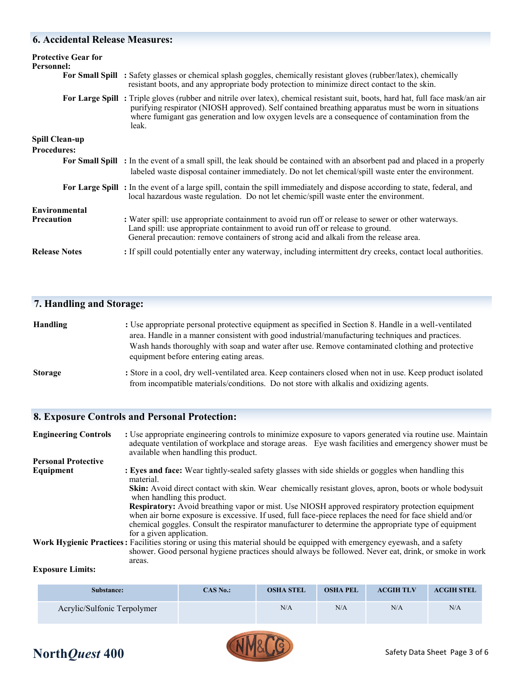## **6. Accidental Release Measures:**

| <b>Protective Gear for</b><br><b>Personnel:</b> | For Small Spill : Safety glasses or chemical splash goggles, chemically resistant gloves (rubber/latex), chemically<br>resistant boots, and any appropriate body protection to minimize direct contact to the skin.                                                                                                                                 |
|-------------------------------------------------|-----------------------------------------------------------------------------------------------------------------------------------------------------------------------------------------------------------------------------------------------------------------------------------------------------------------------------------------------------|
|                                                 | For Large Spill: Triple gloves (rubber and nitrile over latex), chemical resistant suit, boots, hard hat, full face mask/an air<br>purifying respirator (NIOSH approved). Self contained breathing apparatus must be worn in situations<br>where fumigant gas generation and low oxygen levels are a consequence of contamination from the<br>leak. |
| <b>Spill Clean-up</b><br><b>Procedures:</b>     |                                                                                                                                                                                                                                                                                                                                                     |
|                                                 | For Small Spill : In the event of a small spill, the leak should be contained with an absorbent pad and placed in a properly<br>labeled waste disposal container immediately. Do not let chemical/spill waste enter the environment.                                                                                                                |
|                                                 | For Large Spill: In the event of a large spill, contain the spill immediately and dispose according to state, federal, and<br>local hazardous waste regulation. Do not let chemic/spill waste enter the environment.                                                                                                                                |
| Environmental<br><b>Precaution</b>              | : Water spill: use appropriate containment to avoid run off or release to sewer or other waterways.<br>Land spill: use appropriate containment to avoid run off or release to ground.<br>General precaution: remove containers of strong acid and alkali from the release area.                                                                     |
| <b>Release Notes</b>                            | : If spill could potentially enter any waterway, including intermittent dry creeks, contact local authorities.                                                                                                                                                                                                                                      |

## **7. Handling and Storage:**

| <b>Handling</b> | : Use appropriate personal protective equipment as specified in Section 8. Handle in a well-ventilated |  |  |  |  |
|-----------------|--------------------------------------------------------------------------------------------------------|--|--|--|--|
|                 | area. Handle in a manner consistent with good industrial/manufacturing techniques and practices.       |  |  |  |  |
|                 | Wash hands thoroughly with soap and water after use. Remove contaminated clothing and protective       |  |  |  |  |
|                 | equipment before entering eating areas.                                                                |  |  |  |  |
| $\sim$ $\sim$   |                                                                                                        |  |  |  |  |

**Storage :** Store in a cool, dry well-ventilated area. Keep containers closed when not in use. Keep product isolated from incompatible materials/conditions. Do not store with alkalis and oxidizing agents.

## **8. Exposure Controls and Personal Protection:**

| <b>Engineering Controls</b> | : Use appropriate engineering controls to minimize exposure to vapors generated via routine use. Maintain<br>adequate ventilation of workplace and storage areas. Eye wash facilities and emergency shower must be<br>available when handling this product.                                                               |
|-----------------------------|---------------------------------------------------------------------------------------------------------------------------------------------------------------------------------------------------------------------------------------------------------------------------------------------------------------------------|
| <b>Personal Protective</b>  |                                                                                                                                                                                                                                                                                                                           |
| Equipment                   | : Eyes and face: Wear tightly-sealed safety glasses with side shields or goggles when handling this<br>material.                                                                                                                                                                                                          |
|                             | Skin: Avoid direct contact with skin. Wear chemically resistant gloves, apron, boots or whole bodysuit<br>when handling this product.                                                                                                                                                                                     |
|                             | <b>Respiratory:</b> Avoid breathing vapor or mist. Use NIOSH approved respiratory protection equipment<br>when air borne exposure is excessive. If used, full face-piece replaces the need for face shield and/or<br>chemical goggles. Consult the respirator manufacturer to determine the appropriate type of equipment |
|                             | for a given application.                                                                                                                                                                                                                                                                                                  |
|                             | Work Hygienic Practices: Facilities storing or using this material should be equipped with emergency eyewash, and a safety<br>shower. Good personal hygiene practices should always be followed. Never eat, drink, or smoke in work                                                                                       |
|                             | areas.                                                                                                                                                                                                                                                                                                                    |

#### **Exposure Limits:**

| Substance:                  | CAS No.: | <b>OSHA STEL</b> | <b>OSHA PEL</b> | <b>ACGIH TLV</b> | <b>ACGIH STEL</b> |
|-----------------------------|----------|------------------|-----------------|------------------|-------------------|
| Acrylic/Sulfonic Terpolymer |          | N/A              | N/A             | N/A              | N/A               |

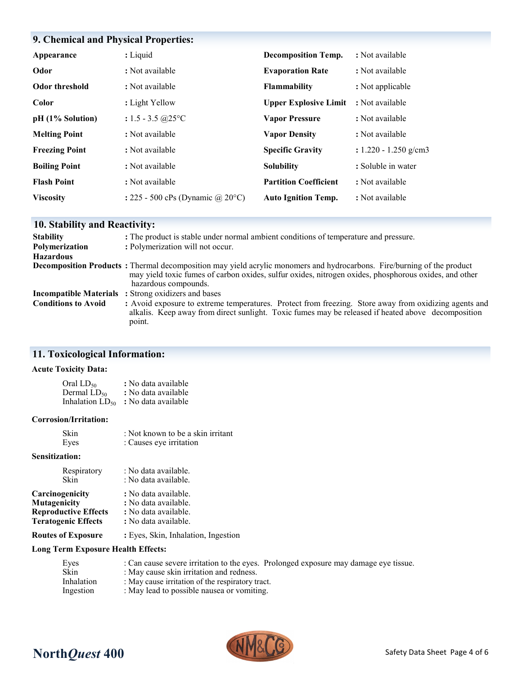## **9. Chemical and Physical Properties:**

| Appearance            | : Liquid                          | <b>Decomposition Temp.</b>   | : Not available         |
|-----------------------|-----------------------------------|------------------------------|-------------------------|
| Odor                  | : Not available                   | <b>Evaporation Rate</b>      | : Not available         |
| Odor threshold        | : Not available                   | Flammability                 | : Not applicable        |
| Color                 | : Light Yellow                    | <b>Upper Explosive Limit</b> | : Not available         |
| pH (1% Solution)      | : $1.5 - 3.5$ @ $25^{\circ}$ C    | <b>Vapor Pressure</b>        | : Not available         |
| <b>Melting Point</b>  | : Not available                   | <b>Vapor Density</b>         | : Not available         |
| <b>Freezing Point</b> | : Not available                   | <b>Specific Gravity</b>      | $: 1.220 - 1.250$ g/cm3 |
| <b>Boiling Point</b>  | : Not available                   | <b>Solubility</b>            | : Soluble in water      |
| <b>Flash Point</b>    | : Not available                   | <b>Partition Coefficient</b> | : Not available         |
| <b>Viscosity</b>      | : 225 - 500 cPs (Dynamic @ 20 °C) | <b>Auto Ignition Temp.</b>   | : Not available         |

## **10. Stability and Reactivity:**

| <b>Stability</b>           | : The product is stable under normal ambient conditions of temperature and pressure.                                                                                                                                                                            |  |
|----------------------------|-----------------------------------------------------------------------------------------------------------------------------------------------------------------------------------------------------------------------------------------------------------------|--|
| Polymerization             | : Polymerization will not occur.                                                                                                                                                                                                                                |  |
| <b>Hazardous</b>           |                                                                                                                                                                                                                                                                 |  |
|                            | <b>Decomposition Products</b> : Thermal decomposition may yield acrylic monomers and hydrocarbons. Fire/burning of the product<br>may yield toxic fumes of carbon oxides, sulfur oxides, nitrogen oxides, phosphorous oxides, and other<br>hazardous compounds. |  |
|                            | <b>Incompatible Materials</b> : Strong oxidizers and bases                                                                                                                                                                                                      |  |
| <b>Conditions to Avoid</b> | : Avoid exposure to extreme temperatures. Protect from freezing. Store away from oxidizing agents and<br>alkalis. Keep away from direct sunlight. Toxic fumes may be released if heated above decomposition<br>point.                                           |  |

## **11. Toxicological Information:**

### **Acute Toxicity Data:**

| Oral LD50               | : No data available |
|-------------------------|---------------------|
| Dermal LD <sub>50</sub> | : No data available |
| Inhalation $LD_{50}$    | : No data available |

#### **Corrosion/Irritation:**

| Skin | : Not known to be a skin irritant |
|------|-----------------------------------|
| Eyes | : Causes eye irritation           |

#### **Sensitization:**

| Respiratory                 | : No data available. |
|-----------------------------|----------------------|
| Skin                        | : No data available. |
| Carcinogenicity             | : No data available. |
| Mutagenicity                | : No data available. |
| <b>Reproductive Effects</b> | : No data available. |
| <b>Teratogenic Effects</b>  | : No data available. |

**Routes of Exposure :** Eyes, Skin, Inhalation, Ingestion

#### **Long Term Exposure Health Effects:**

| Eyes              | : Can cause severe irritation to the eyes. Prolonged exposure may damage eye tissue. |
|-------------------|--------------------------------------------------------------------------------------|
| Skin              | : May cause skin irritation and redness.                                             |
| <b>Inhalation</b> | : May cause irritation of the respiratory tract.                                     |
| Ingestion         | : May lead to possible nausea or vomiting.                                           |



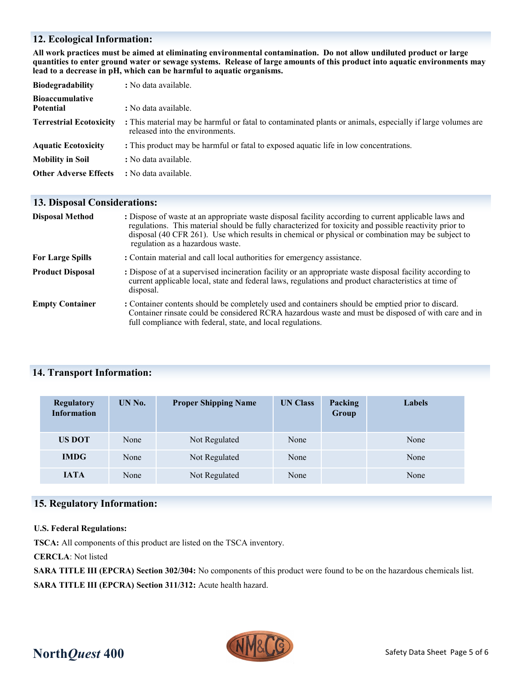#### **12. Ecological Information:**

**All work practices must be aimed at eliminating environmental contamination. Do not allow undiluted product or large quantities to enter ground water or sewage systems. Release of large amounts of this product into aquatic environments may lead to a decrease in pH, which can be harmful to aquatic organisms.**

| <b>Biodegradability</b>                    | : No data available.                                                                                                                          |
|--------------------------------------------|-----------------------------------------------------------------------------------------------------------------------------------------------|
| <b>Bioaccumulative</b><br><b>Potential</b> | : No data available.                                                                                                                          |
| <b>Terrestrial Ecotoxicity</b>             | : This material may be harmful or fatal to contaminated plants or animals, especially if large volumes are<br>released into the environments. |
| <b>Aquatic Ecotoxicity</b>                 | : This product may be harmful or fatal to exposed aquatic life in low concentrations.                                                         |
| <b>Mobility in Soil</b>                    | : No data available.                                                                                                                          |
| <b>Other Adverse Effects</b>               | : No data available.                                                                                                                          |

#### **13. Disposal Considerations:**

| <b>Disposal Method</b>  | : Dispose of waste at an appropriate waste disposal facility according to current applicable laws and<br>regulations. This material should be fully characterized for toxicity and possible reactivity prior to<br>disposal (40 CFR 261). Use which results in chemical or physical or combination may be subject to<br>regulation as a hazardous waste. |  |  |  |
|-------------------------|----------------------------------------------------------------------------------------------------------------------------------------------------------------------------------------------------------------------------------------------------------------------------------------------------------------------------------------------------------|--|--|--|
| <b>For Large Spills</b> | : Contain material and call local authorities for emergency assistance.                                                                                                                                                                                                                                                                                  |  |  |  |
| <b>Product Disposal</b> | : Dispose of at a supervised incineration facility or an appropriate waste disposal facility according to<br>current applicable local, state and federal laws, regulations and product characteristics at time of<br>disposal.                                                                                                                           |  |  |  |
| <b>Empty Container</b>  | : Container contents should be completely used and containers should be emptied prior to discard.<br>Container rinsate could be considered RCRA hazardous waste and must be disposed of with care and in<br>full compliance with federal, state, and local regulations.                                                                                  |  |  |  |

#### **14. Transport Information:**

| <b>Regulatory</b><br><b>Information</b> | UN No. | <b>Proper Shipping Name</b> | <b>UN Class</b> | <b>Packing</b><br>Group | Labels |
|-----------------------------------------|--------|-----------------------------|-----------------|-------------------------|--------|
| <b>US DOT</b>                           | None   | Not Regulated               | None            |                         | None   |
| <b>IMDG</b>                             | None   | Not Regulated               | None            |                         | None   |
| <b>IATA</b>                             | None   | Not Regulated               | None            |                         | None   |

## **15. Regulatory Information:**

#### **U.S. Federal Regulations:**

**TSCA:** All components of this product are listed on the TSCA inventory.

**CERCLA**: Not listed

**SARA TITLE III (EPCRA) Section 302/304:** No components of this product were found to be on the hazardous chemicals list. **SARA TITLE III (EPCRA) Section 311/312:** Acute health hazard.